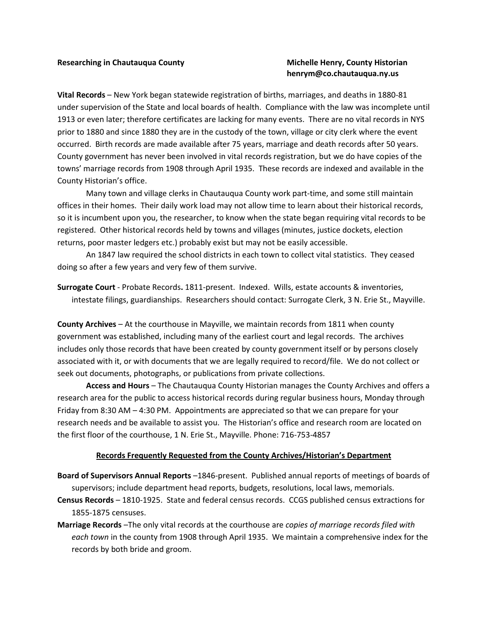## henrym@co.chautauqua.ny.us

Vital Records – New York began statewide registration of births, marriages, and deaths in 1880-81 under supervision of the State and local boards of health. Compliance with the law was incomplete until 1913 or even later; therefore certificates are lacking for many events. There are no vital records in NYS prior to 1880 and since 1880 they are in the custody of the town, village or city clerk where the event occurred. Birth records are made available after 75 years, marriage and death records after 50 years. County government has never been involved in vital records registration, but we do have copies of the towns' marriage records from 1908 through April 1935. These records are indexed and available in the County Historian's office.

 Many town and village clerks in Chautauqua County work part-time, and some still maintain offices in their homes. Their daily work load may not allow time to learn about their historical records, so it is incumbent upon you, the researcher, to know when the state began requiring vital records to be registered. Other historical records held by towns and villages (minutes, justice dockets, election returns, poor master ledgers etc.) probably exist but may not be easily accessible.

 An 1847 law required the school districts in each town to collect vital statistics. They ceased doing so after a few years and very few of them survive.

Surrogate Court - Probate Records. 1811-present. Indexed. Wills, estate accounts & inventories, intestate filings, guardianships. Researchers should contact: Surrogate Clerk, 3 N. Erie St., Mayville.

County Archives – At the courthouse in Mayville, we maintain records from 1811 when county government was established, including many of the earliest court and legal records. The archives includes only those records that have been created by county government itself or by persons closely associated with it, or with documents that we are legally required to record/file. We do not collect or seek out documents, photographs, or publications from private collections.

 Access and Hours – The Chautauqua County Historian manages the County Archives and offers a research area for the public to access historical records during regular business hours, Monday through Friday from 8:30 AM – 4:30 PM. Appointments are appreciated so that we can prepare for your research needs and be available to assist you. The Historian's office and research room are located on the first floor of the courthouse, 1 N. Erie St., Mayville. Phone: 716-753-4857

## Records Frequently Requested from the County Archives/Historian's Department

Board of Supervisors Annual Reports –1846-present. Published annual reports of meetings of boards of supervisors; include department head reports, budgets, resolutions, local laws, memorials.

- Census Records 1810-1925. State and federal census records. CCGS published census extractions for 1855-1875 censuses.
- Marriage Records -The only vital records at the courthouse are copies of marriage records filed with each town in the county from 1908 through April 1935. We maintain a comprehensive index for the records by both bride and groom.